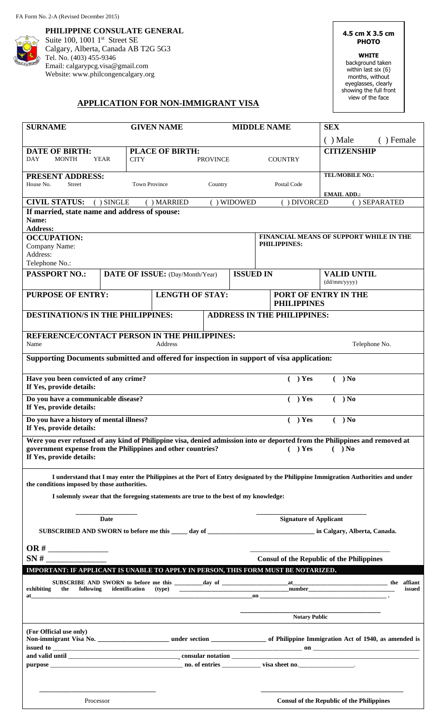**PHILIPPINE CONSULATE GENERAL**  Suite 100, 1001 1<sup>st</sup> Street SE Calgary, Alberta, Canada AB T2G 5G3 Tel. No. (403) 455-9346 Email: calgarypcg.visa@gmail.com Website: www.philcongencalgary.org

**4.5 cm X 3.5 cm PHOTO** 

**WHITE**

background taken within last six (6) months, without eyeglasses, clearly showing the full front view of the face

### **APPLICATION FOR NON-IMMIGRANT VISA**

| <b>SURNAME</b>                                                                                                                                                                                                                                                                                                                                                                          | <b>GIVEN NAME</b>               |                        | <b>MIDDLE NAME</b> |                                                      | <b>SEX</b>                                       |           |  |
|-----------------------------------------------------------------------------------------------------------------------------------------------------------------------------------------------------------------------------------------------------------------------------------------------------------------------------------------------------------------------------------------|---------------------------------|------------------------|--------------------|------------------------------------------------------|--------------------------------------------------|-----------|--|
|                                                                                                                                                                                                                                                                                                                                                                                         |                                 |                        |                    |                                                      | $( )$ Male                                       | () Female |  |
| <b>DATE OF BIRTH:</b>                                                                                                                                                                                                                                                                                                                                                                   | <b>PLACE OF BIRTH:</b>          |                        |                    |                                                      | <b>CITIZENSHIP</b>                               |           |  |
| <b>DAY</b><br><b>MONTH</b><br><b>YEAR</b>                                                                                                                                                                                                                                                                                                                                               | <b>CITY</b><br><b>PROVINCE</b>  |                        |                    | <b>COUNTRY</b>                                       |                                                  |           |  |
|                                                                                                                                                                                                                                                                                                                                                                                         |                                 |                        |                    |                                                      | <b>TEL/MOBILE NO.:</b>                           |           |  |
| <b>PRESENT ADDRESS:</b><br>House No.<br><b>Street</b>                                                                                                                                                                                                                                                                                                                                   | <b>Town Province</b>            | Country                |                    | Postal Code                                          |                                                  |           |  |
|                                                                                                                                                                                                                                                                                                                                                                                         |                                 |                        |                    |                                                      | <b>EMAIL ADD.:</b>                               |           |  |
| <b>CIVIL STATUS:</b><br>() SEPARATED<br>$( )$ SINGLE<br>() WIDOWED<br>() DIVORCED<br>() MARRIED                                                                                                                                                                                                                                                                                         |                                 |                        |                    |                                                      |                                                  |           |  |
| If married, state name and address of spouse:<br>Name:<br><b>Address:</b>                                                                                                                                                                                                                                                                                                               |                                 |                        |                    |                                                      |                                                  |           |  |
| <b>OCCUPATION:</b>                                                                                                                                                                                                                                                                                                                                                                      |                                 |                        |                    | FINANCIAL MEANS OF SUPPORT WHILE IN THE              |                                                  |           |  |
| Company Name:<br>Address:<br>Telephone No.:                                                                                                                                                                                                                                                                                                                                             |                                 |                        |                    | PHILIPPINES:                                         |                                                  |           |  |
| <b>PASSPORT NO.:</b>                                                                                                                                                                                                                                                                                                                                                                    |                                 |                        | <b>ISSUED IN</b>   |                                                      | <b>VALID UNTIL</b>                               |           |  |
|                                                                                                                                                                                                                                                                                                                                                                                         | DATE OF ISSUE: (Day/Month/Year) |                        |                    |                                                      | (dd/mm/yyyy)                                     |           |  |
| <b>PURPOSE OF ENTRY:</b>                                                                                                                                                                                                                                                                                                                                                                |                                 | <b>LENGTH OF STAY:</b> |                    | PORT OF ENTRY IN THE<br><b>PHILIPPINES</b>           |                                                  |           |  |
| <b>DESTINATION/S IN THE PHILIPPINES:</b><br><b>ADDRESS IN THE PHILIPPINES:</b>                                                                                                                                                                                                                                                                                                          |                                 |                        |                    |                                                      |                                                  |           |  |
| REFERENCE/CONTACT PERSON IN THE PHILIPPINES:                                                                                                                                                                                                                                                                                                                                            |                                 |                        |                    |                                                      |                                                  |           |  |
| Name<br>Address                                                                                                                                                                                                                                                                                                                                                                         |                                 |                        |                    | Telephone No.                                        |                                                  |           |  |
| Supporting Documents submitted and offered for inspection in support of visa application:                                                                                                                                                                                                                                                                                               |                                 |                        |                    |                                                      |                                                  |           |  |
| Have you been convicted of any crime?<br>If Yes, provide details:                                                                                                                                                                                                                                                                                                                       |                                 |                        |                    | ) Yes<br>) No<br>€                                   |                                                  |           |  |
| Do you have a communicable disease?<br>) Yes<br>) No<br>€<br>If Yes, provide details:                                                                                                                                                                                                                                                                                                   |                                 |                        |                    |                                                      |                                                  |           |  |
| Do you have a history of mental illness?<br>) Yes<br>) No<br>€<br>If Yes, provide details:                                                                                                                                                                                                                                                                                              |                                 |                        |                    |                                                      |                                                  |           |  |
| Were you ever refused of any kind of Philippine visa, denied admission into or deported from the Philippines and removed at<br>government expense from the Philippines and other countries?<br>$( )$ Yes<br>$( )$ No<br>If Yes, provide details:                                                                                                                                        |                                 |                        |                    |                                                      |                                                  |           |  |
| I understand that I may enter the Philippines at the Port of Entry designated by the Philippine Immigration Authorities and under<br>the conditions imposed by those authorities.                                                                                                                                                                                                       |                                 |                        |                    |                                                      |                                                  |           |  |
| I solemnly swear that the foregoing statements are true to the best of my knowledge:                                                                                                                                                                                                                                                                                                    |                                 |                        |                    |                                                      |                                                  |           |  |
| Date                                                                                                                                                                                                                                                                                                                                                                                    |                                 |                        |                    | <b>Signature of Applicant</b>                        |                                                  |           |  |
|                                                                                                                                                                                                                                                                                                                                                                                         |                                 |                        |                    |                                                      |                                                  |           |  |
|                                                                                                                                                                                                                                                                                                                                                                                         |                                 |                        |                    |                                                      |                                                  |           |  |
| SN#                                                                                                                                                                                                                                                                                                                                                                                     |                                 |                        |                    | <b>Consul of the Republic of the Philippines</b>     |                                                  |           |  |
| IMPORTANT: IF APPLICANT IS UNABLE TO APPLY IN PERSON, THIS FORM MUST BE NOTARIZED.                                                                                                                                                                                                                                                                                                      |                                 |                        |                    |                                                      |                                                  |           |  |
| the following<br>exhibiting<br>at the contract of the contract of the contract of the contract of the contract of the contract of the contract of the contract of the contract of the contract of the contract of the contract of the contract of the contrac<br><u> 1989 - Johann John Harry Harry Harry Harry Harry Harry Harry Harry Harry Harry Harry Harry Harry Harry Harry H</u> |                                 |                        |                    | $\overline{\phantom{a}}$ on $\overline{\phantom{a}}$ |                                                  | issued    |  |
|                                                                                                                                                                                                                                                                                                                                                                                         |                                 |                        |                    |                                                      |                                                  |           |  |
|                                                                                                                                                                                                                                                                                                                                                                                         |                                 |                        |                    | <b>Notary Public</b>                                 |                                                  |           |  |
| (For Official use only)                                                                                                                                                                                                                                                                                                                                                                 |                                 |                        |                    |                                                      |                                                  |           |  |
|                                                                                                                                                                                                                                                                                                                                                                                         |                                 |                        |                    |                                                      |                                                  |           |  |
|                                                                                                                                                                                                                                                                                                                                                                                         |                                 |                        |                    |                                                      |                                                  |           |  |
|                                                                                                                                                                                                                                                                                                                                                                                         |                                 |                        |                    |                                                      |                                                  |           |  |
| Processor                                                                                                                                                                                                                                                                                                                                                                               |                                 |                        |                    |                                                      | <b>Consul of the Republic of the Philippines</b> |           |  |